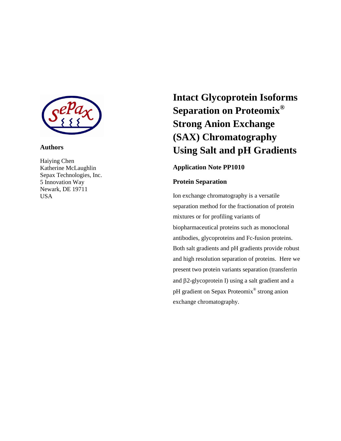

## **Authors**

Haiying Chen Katherine McLaughlin Sepax Technologies, Inc. 5 Innovation Way Newark, DE 19711 USA

# **Intact Glycoprotein Isoforms Separation on Proteomix® Strong Anion Exchange (SAX) Chromatography Using Salt and pH Gradients**

## **Application Note PP1010**

## **Protein Separation**

Ion exchange chromatography is a versatile separation method for the fractionation of protein mixtures or for profiling variants of biopharmaceutical proteins such as monoclonal antibodies, glycoproteins and Fc-fusion proteins. Both salt gradients and pH gradients provide robust and high resolution separation of proteins. Here we present two protein variants separation (transferrin and  $\beta$ 2-glycoprotein I) using a salt gradient and a pH gradient on Sepax Proteomix® strong anion exchange chromatography.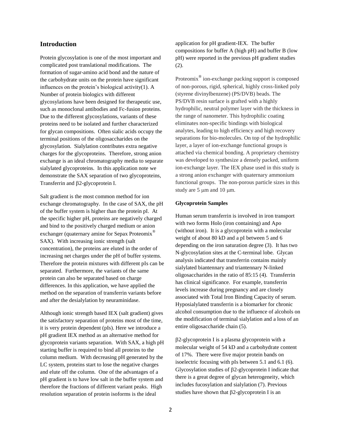## **Introduction**

Protein glycosylation is one of the most important and complicated post translational modifications. The formation of sugar-amino acid bond and the nature of the carbohydrate units on the protein have significant influences on the protein's biological activity $(1)$ . A Number of protein biologics with different glycosylations have been designed for therapeutic use, such as monoclonal antibodies and Fc-fusion proteins. Due to the different glycosylations, variants of these proteins need to be isolated and further characterized for glycan compositions. Often sialic acids occupy the terminal positions of the oligosaccharides on the glycosylation. Sialylation contributes extra negative charges for the glycoproteins. Therefore, strong anion exchange is an ideal chromatography media to separate sialylated glycoproteins. In this application note we demonstrate the SAX separation of two glycoproteins, Transferrin and  $\beta$ 2-glycoprotein I.

Salt gradient is the most common method for ion exchange chromatography. In the case of SAX, the pH of the buffer system is higher than the protein pI. At the specific higher pH, proteins are negatively charged and bind to the positively charged medium or anion exchanger (quaternary amine for Sepax Proteomix<sup>®</sup> SAX). With increasing ionic strength (salt concentration), the proteins are eluted in the order of increasing net charges under the pH of buffer systems. Therefore the protein mixtures with different pIs can be separated. Furthermore, the variants of the same protein can also be separated based on charge differences. In this application, we have applied the method on the separation of transferrin variants before and after the desialylation by neuraminidase.

Although ionic strength based IEX (salt gradient) gives the satisfactory separation of proteins most of the time, it is very protein dependent (pIs). Here we introduce a pH gradient IEX method as an alternative method for glycoprotein variants separation. With SAX, a high pH starting buffer is required to bind all proteins to the column medium. With decreasing pH generated by the LC system, proteins start to lose the negative charges and elute off the column. One of the advantages of a pH gradient is to have low salt in the buffer system and therefore the fractions of different variant peaks. High resolution separation of protein isoforms is the ideal

application for pH gradient-IEX. The buffer compositions for buffer A (high pH) and buffer B (low pH) were reported in the previous pH gradient studies (2).

Proteomix<sup>®</sup> ion-exchange packing support is composed of non-porous, rigid, spherical, highly cross-linked poly (styrene divinylbenzene) (PS/DVB) beads. The PS/DVB resin surface is grafted with a highly hydrophilic, neutral polymer layer with the thickness in the range of nanometer. This hydrophilic coating eliminates non-specific bindings with biological analytes, leading to high efficiency and high recovery separations for bio-molecules. On top of the hydrophilic layer, a layer of ion-exchange functional groups is attached via chemical bonding. A proprietary chemistry was developed to synthesize a densely packed, uniform ion-exchange layer. The IEX phase used in this study is a strong anion exchanger with quaternary ammonium functional groups. The non-porous particle sizes in this study are  $5 \mu m$  and  $10 \mu m$ .

#### **Glycoprotein Samples**

Human serum transferrin is involved in iron transport with two forms Holo (iron containing) and Apo (without iron). It is a glycoprotein with a molecular weight of about 80 kD and a pI between 5 and 6 depending on the iron saturation degree (3). It has two N-glycosylation sites at the C-terminal lobe. Glycan analysis indicated that transferrin contains mainly sialylated biantennary and triantennary N-linked oligosaccharides in the ratio of 85:15 (4). Transferrin has clinical significance. For example, transferrin levels increase during pregnancy and are closely associated with Total Iron Binding Capacity of serum. Hyposialylated transferrin is a biomarker for chronic alcohol consumption due to the influence of alcohols on the modification of terminal sialylation and a loss of an entire oligosaccharide chain (5).

2-glycoprotein I is a plasma glycoprotein with a molecular weight of 54 kD and a carbohydrate content of 17%. There were five major protein bands on isoelectric focusing with pIs between 5.1 and 6.1 (6). Glycosylation studies of  $\beta$ 2-glycoprotein I indicate that there is a great degree of glycan heterogeneity, which includes fucosylation and sialylation (7). Previous studies have shown that  $\beta$ 2-glycoprotein I is an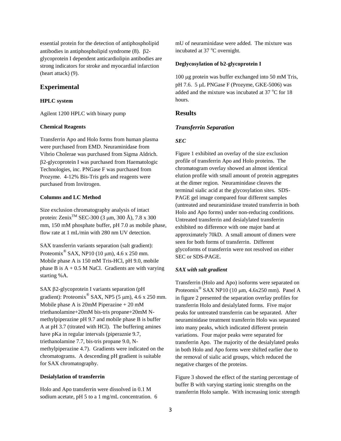essential protein for the detection of antiphospholipid antibodies in antiphospholipid syndrome  $(8)$ .  $\beta$ 2glycoprotein I dependent anticardiolipin antibodies are strong indicators for stroke and myocardial infarction (heart attack) (9).

## **Experimental**

#### **HPLC system**

Agilent 1200 HPLC with binary pump

#### **Chemical Reagents**

Transferrin Apo and Holo forms from human plasma were purchased from EMD. Neuraminidase from Vibrio Cholerae was purchased from Sigma Aldrich. 2-glycoprotein I was purchased from Haematologic Technologies, inc. PNGase F was purchased from Prozyme. 4-12% Bis-Tris gels and reagents were purchased from Invitrogen.

#### **Columns and LC Method**

Size exclusion chromatography analysis of intact protein: Zenix<sup>TM</sup> SEC-300 (3 µm, 300 Å), 7.8 x 300 mm, 150 mM phosphate buffer, pH 7.0 as mobile phase, flow rate at 1 mL/min with 280 nm UV detection.

SAX transferrin variants separation (salt gradient): Proteomix<sup>®</sup> SAX, NP10 (10  $\mu$ m), 4.6 x 250 mm. Mobile phase A is 150 mM Tris-HCl, pH 9.0, mobile phase B is  $A + 0.5$  M NaCl. Gradients are with varying starting %A.

SAX  $\beta$ 2-glycoprotein I variants separation (pH gradient): Proteomix<sup>®</sup> SAX, NP5 (5  $\mu$ m), 4.6 x 250 mm. Mobile phase A is 20mM Piperazine + 20 mM triethanolamine+20mM bis-tris propane+20mM Nmethylpiperazine pH 9.7 and mobile phase B is buffer A at pH 3.7 (titrated with HCl). The buffering amines have pKa in regular intervals (piperaznie 9.7, triethanolamine 7.7, bis-tris propane 9.0, Nmethylpiperazine 4.7). Gradients were indicated on the chromatograms. A descending pH gradient is suitable for SAX chromatography.

#### **Desialylation of transferrin**

Holo and Apo transferrin were dissolved in 0.1 M sodium acetate, pH 5 to a 1 mg/mL concentration. 6 mU of neuraminidase were added. The mixture was incubated at  $37^{\circ}$ C overnight.

## **Deglycosylation of b2-glycoprotein I**

100 μg protein was buffer exchanged into 50 mM Tris, pH 7.6. 5 µL PNGase F (Prozyme, GKE-5006) was added and the mixture was incubated at  $37^{\circ}$ C for 18 hours.

## **Results**

#### *Transferrin Separation*

#### *SEC*

Figure 1 exhibited an overlay of the size exclusion profile of transferrin Apo and Holo proteins. The chromatogram overlay showed an almost identical elution profile with small amount of protein aggregates at the dimer region. Neuraminidase cleaves the terminal sialic acid at the glycosylation sites. SDS-PAGE gel image compared four different samples (untreated and neuraminidase treated transferrin in both Holo and Apo forms) under non-reducing conditions. Untreated transferrin and desialylated transferrin exhibited no difference with one major band at approximately 70kD. A small amount of dimers were seen for both forms of transferrin. Different glycoforms of transferrin were not resolved on either SEC or SDS-PAGE.

## *SAX with salt gradient*

Transferrin (Holo and Apo) isoforms were separated on Proteomix<sup>®</sup> SAX NP10 (10  $\mu$ m, 4.6x250 mm). Panel A in figure 2 presented the separation overlay profiles for transferrin Holo and desialylated forms. Five major peaks for untreated transferrin can be separated. After neuraminidase treatment transferrin Holo was separated into many peaks, which indicated different protein variations. Four major peaks were separated for transferrin Apo. The majority of the desialylated peaks in both Holo and Apo forms were shifted earlier due to the removal of sialic acid groups, which reduced the negative charges of the proteins.

Figure 3 showed the effect of the starting percentage of buffer B with varying starting ionic strengths on the transferrin Holo sample. With increasing ionic strength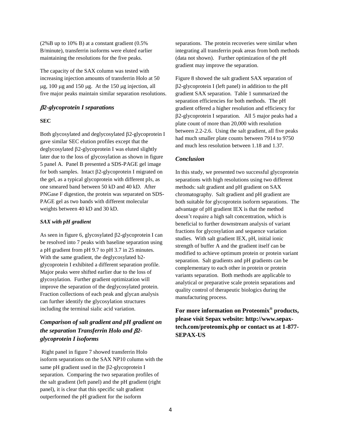(2%B up to 10% B) at a constant gradient (0.5% B/minute), transferrin isoforms were eluted earlier maintaining the resolutions for the five peaks.

The capacity of the SAX column was tested with increasing injection amounts of transferrin Holo at 50  $\mu$ g, 100  $\mu$ g and 150  $\mu$ g. At the 150  $\mu$ g injection, all five major peaks maintain similar separation resolutions.

## *2-glycoprotein I separations*

#### **SEC**

Both glycosylated and deglycosylated  $\beta$ 2-glycoprotein I gave similar SEC elution profiles except that the deglycosylated  $\beta$ 2-glycoprotein I was eluted slightly later due to the loss of glycosylation as shown in figure 5 panel A. Panel B presented a SDS-PAGE gel image for both samples. Intact  $\beta$ 2-glycoprotein I migrated on the gel, as a typical glycoprotein with different pIs, as one smeared band between 50 kD and 40 kD. After PNGase F digestion, the protein was separated on SDS-PAGE gel as two bands with different molecular weights between 40 kD and 30 kD.

#### *SAX with pH gradient*

As seen in figure 6, glycosylated  $\beta$ 2-glycoprotein I can be resolved into 7 peaks with baseline separation using a pH gradient from pH 9.7 to pH 3.7 in 25 minutes. With the same gradient, the deglycosylated b2 glycoprotein I exhibited a different separation profile. Major peaks were shifted earlier due to the loss of glycosylation. Further gradient optimization will improve the separation of the deglycosylated protein. Fraction collections of each peak and glycan analysis can further identify the glycosylation structures including the terminal sialic acid variation.

# *Comparison of salt gradient and pH gradient on the separation Transferrin Holo and 2 glycoprotein I isoforms*

Right panel in figure 7 showed transferrin Holo isoform separations on the SAX NP10 column with the same pH gradient used in the  $\beta$ 2-glycoprotein I separation. Comparing the two separation profiles of the salt gradient (left panel) and the pH gradient (right panel), it is clear that this specific salt gradient outperformed the pH gradient for the isoform

separations. The protein recoveries were similar when integrating all transferrin peak areas from both methods (data not shown). Further optimization of the pH gradient may improve the separation.

Figure 8 showed the salt gradient SAX separation of 2-glycoprotein I (left panel) in addition to the pH gradient SAX separation. Table 1 summarized the separation efficiencies for both methods. The pH gradient offered a higher resolution and efficiency for 2-glycoprotein I separation. All 5 major peaks had a plate count of more than 20,000 with resolution between 2.2-2.6. Using the salt gradient, all five peaks had much smaller plate counts between 7914 to 9750 and much less resolution between 1.18 and 1.37.

## *Conclusion*

In this study, we presented two successful glycoprotein separations with high resolutions using two different methods: salt gradient and pH gradient on SAX chromatography. Salt gradient and pH gradient are both suitable for glycoprotein isoform separations. The advantage of pH gradient IEX is that the method doesn't require a high salt concentration, which is beneficial to further downstream analysis of variant fractions for glycosylation and sequence variation studies. With salt gradient IEX, pH, initial ionic strength of buffer A and the gradient itself can be modified to achieve optimum protein or protein variant separation. Salt gradients and pH gradients can be complementary to each other in protein or protein variants separation. Both methods are applicable to analytical or preparative scale protein separations and quality control of therapeutic biologics during the manufacturing process.

**For more information on Proteomix® products, please visit Sepax website: http://www.sepaxtech.com/proteomix.php or contact us at 1-877- SEPAX-US**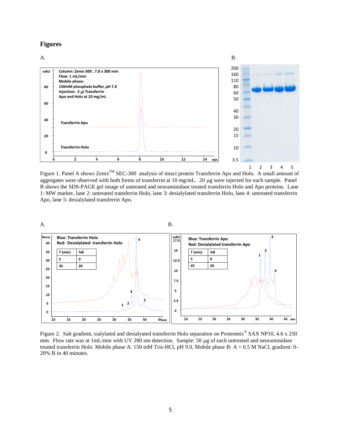## **Figures**



Figure 1. Panel A shows Zenix<sup>TM</sup> SEC-300 analysis of intact protein Transferrin Apo and Holo. A small amount of aggregates were observed with both forms of transferrin at 10 mg/mL. 20 µg were injected for each sample. Panel B shows the SDS-PAGE gel image of untreated and neuraminidase treated transferrin Holo and Apo proteins. Lane 1: MW marker, lane 2: untreated transferrin Holo, lane 3: desialylated transferrin Holo, lane 4: untreated transferrin Apo, lane 5: desialylated transferrin Apo.



Figure 2. Salt gradient, sialylated and desialyated transferrin Holo separation on Proteomix<sup>®</sup> SAX NP10, 4.6 x 250 mm. Flow rate was at 1mL/min with UV 280 nm detection. Sample: 50 µg of each untreated and neuraminidase treated transferrin Holo. Mobile phase A: 150 mM Tris-HCl, pH 9.0, Mobile phase B: A + 0.5 M NaCl, gradient: 0- 20% B in 40 minutes.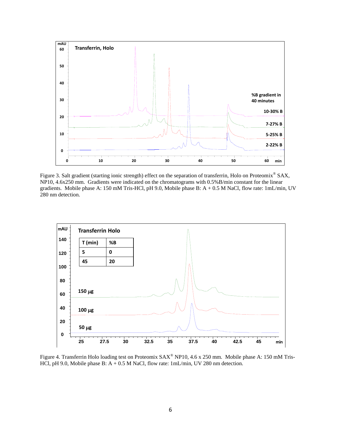

Figure 3. Salt gradient (starting ionic strength) effect on the separation of transferrin, Holo on Proteomix® SAX, NP10, 4.6x250 mm. Gradients were indicated on the chromatograms with 0.5%B/min constant for the linear gradients. Mobile phase A: 150 mM Tris-HCl, pH 9.0, Mobile phase B:  $A + 0.5$  M NaCl, flow rate: 1mL/min, UV 280 nm detection.



Figure 4. Transferrin Holo loading test on Proteomix SAX® NP10, 4.6 x 250 mm. Mobile phase A: 150 mM Tris-HCl, pH 9.0, Mobile phase B: A + 0.5 M NaCl, flow rate: 1mL/min, UV 280 nm detection.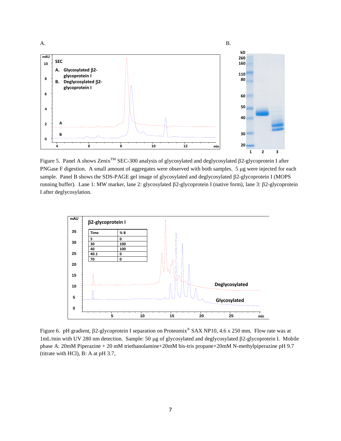

Figure 5. Panel A shows Zenix<sup>™</sup> SEC-300 analysis of glycosylated and deglycosylated β2-glycoprotein I after PNGase F digestion. A small amount of aggregates were observed with both samples. 5 µg were injected for each sample. Panel B shows the SDS-PAGE gel image of glycosylated and deglycosylated  $\beta$ 2-glycoprotein I (MOPS running buffer). Lane 1: MW marker, lane 2: glycosylated  $\beta$ 2-glycoprotein I (native form), lane 3:  $\beta$ 2-glycoprotein I after deglycosylation.



Figure 6. pH gradient,  $\beta$ 2-glycoprotein I separation on Proteomix<sup>®</sup> SAX NP10, 4.6 x 250 mm. Flow rate was at 1mL/min with UV 280 nm detection. Sample: 50 μg of glycosylated and deglycosylated β2-glycoprotein I. Mobile phase A: 20mM Piperazine + 20 mM triethanolamine+20mM bis-tris propane+20mM N-methylpiperazine pH 9.7 (titrate with HCl), B: A at pH 3.7,

7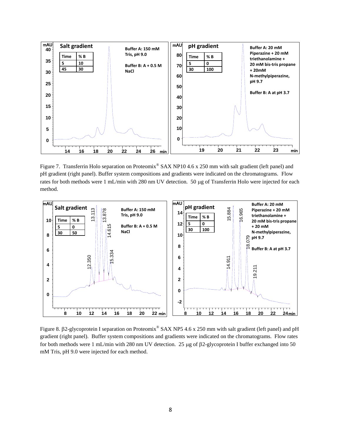

Figure 7. Transferrin Holo separation on Proteomix<sup>®</sup> SAX NP10 4.6 x 250 mm with salt gradient (left panel) and pH gradient (right panel). Buffer system compositions and gradients were indicated on the chromatograms. Flow rates for both methods were 1 mL/min with 280 nm UV detection. 50 µg of Transferrin Holo were injected for each method.



Figure 8.  $\beta$ 2-glycoprotein I separation on Proteomix® SAX NP5 4.6 x 250 mm with salt gradient (left panel) and pH gradient (right panel). Buffer system compositions and gradients were indicated on the chromatograms. Flow rates for both methods were 1 mL/min with 280 nm UV detection. 25  $\mu$ g of  $\beta$ 2-glycoprotein I buffer exchanged into 50 mM Tris, pH 9.0 were injected for each method.